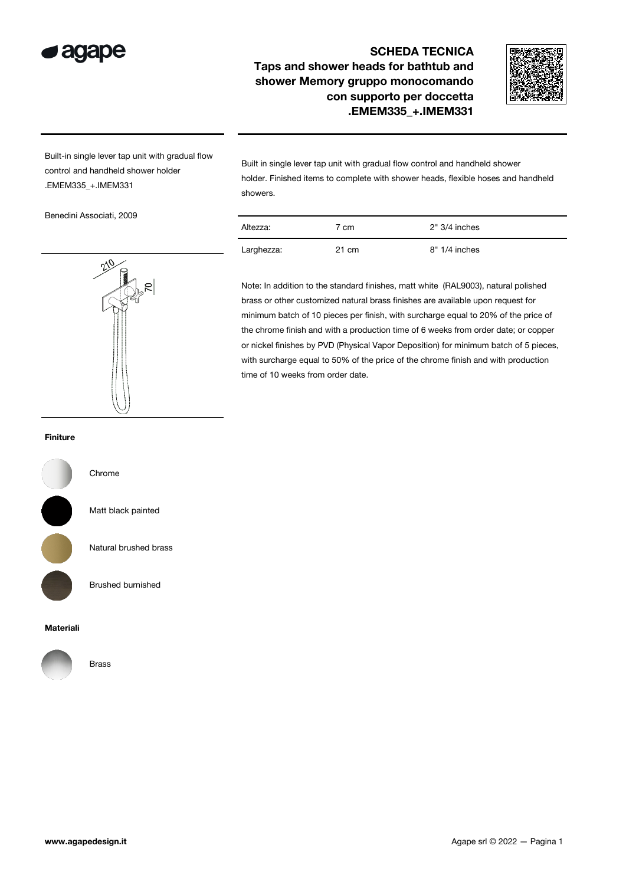

## SCHEDA TECNICA Taps and shower heads for bathtub and shower Memory gruppo monocomando con supporto per doccetta .EMEM335\_+.IMEM331



Built-in single lever tap unit with gradual flow control and handheld shower holder .EMEM335\_+.IMEM331

Benedini Associati, 2009



Built in single lever tap unit with gradual flow control and handheld shower holder. Finished items to complete with shower heads, flexible hoses and handheld showers.

| Altezza:   | 7 cm  | $2" 3/4$ inches |
|------------|-------|-----------------|
| Larghezza: | 21 cm | $8" 1/4$ inches |

Note: In addition to the standard finishes, matt white (RAL9003), natural polished brass or other customized natural brass finishes are available upon request for minimum batch of 10 pieces per finish, with surcharge equal to 20% of the price of the chrome finish and with a production time of 6 weeks from order date; or copper or nickel finishes by PVD (Physical Vapor Deposition) for minimum batch of 5 pieces, with surcharge equal to 50% of the price of the chrome finish and with production time of 10 weeks from order date.

## Finiture



Chrome

Matt black painted

Natural brushed brass

Brushed burnished

## Materiali



Brass